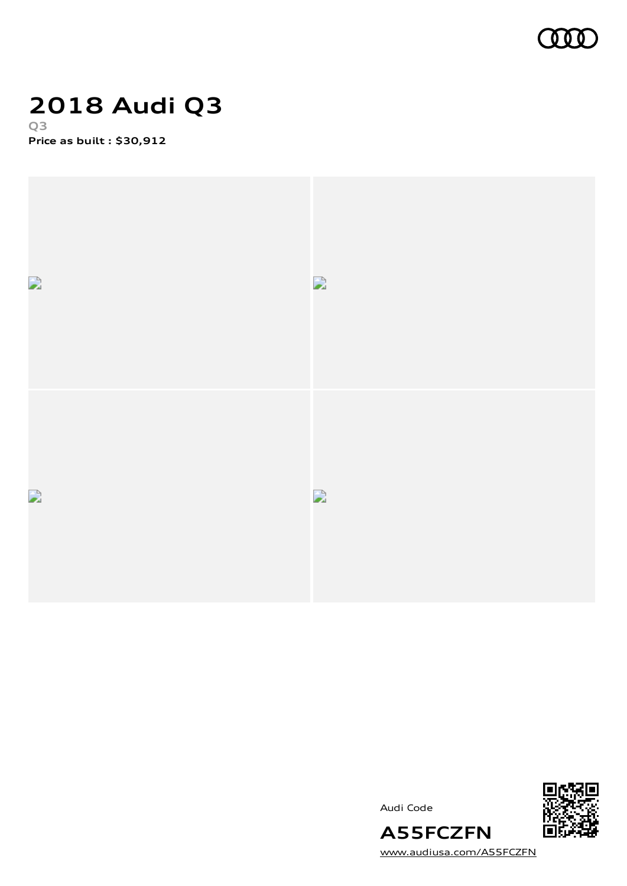

### **2018 Audi Q3 Q3**

**Price as built [:](#page-9-0) \$30,912**



Audi Code



[www.audiusa.com/A55FCZFN](https://www.audiusa.com/A55FCZFN)

**A55FCZFN**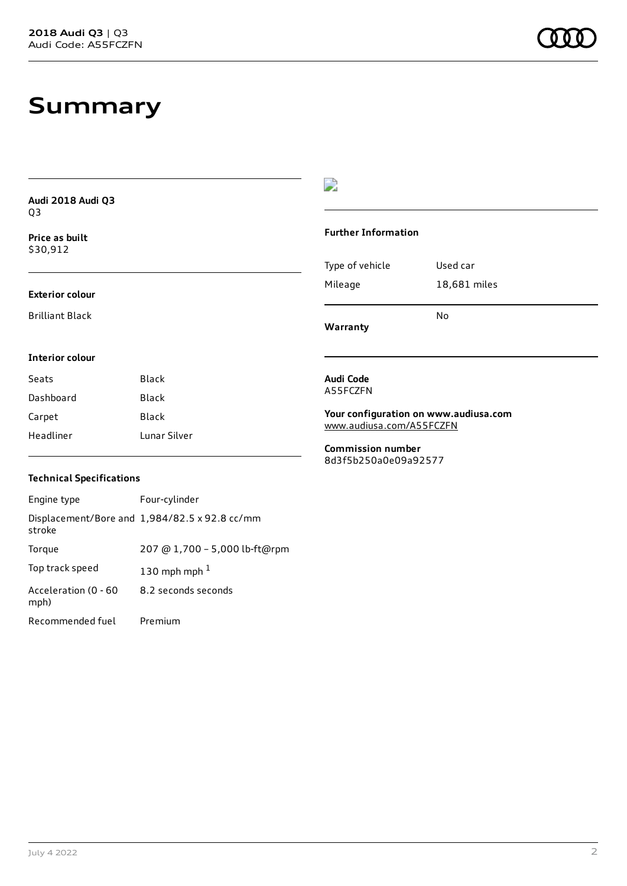# **Summary**

| Audi 2018 Audi Q3          |              | -9                                                                            |              |
|----------------------------|--------------|-------------------------------------------------------------------------------|--------------|
| Q3                         |              |                                                                               |              |
| Price as built<br>\$30,912 |              | <b>Further Information</b>                                                    |              |
|                            |              | Type of vehicle                                                               | Used car     |
| <b>Exterior colour</b>     |              | Mileage                                                                       | 18,681 miles |
| <b>Brilliant Black</b>     |              | Warranty                                                                      | <b>No</b>    |
| <b>Interior colour</b>     |              |                                                                               |              |
| Seats                      | <b>Black</b> | Audi Code                                                                     |              |
| Dashboard                  | Black        | A55FCZFN<br>Your configuration on www.audiusa.com<br>www.audiusa.com/A55FCZFN |              |
| Carpet                     | Black        |                                                                               |              |
| Headliner                  | Lunar Silver |                                                                               |              |
|                            |              | <b>Commission number</b><br>8d3f5b250a0e09a92577                              |              |

#### **Technical Specifications**

| Engine type                  | Four-cylinder                                 |
|------------------------------|-----------------------------------------------|
| stroke                       | Displacement/Bore and 1,984/82.5 x 92.8 cc/mm |
| Torque                       | 207 @ 1,700 - 5,000 lb-ft@rpm                 |
| Top track speed              | 130 mph mph $1$                               |
| Acceleration (0 - 60<br>mph) | 8.2 seconds seconds                           |
| Recommended fuel             | Premium                                       |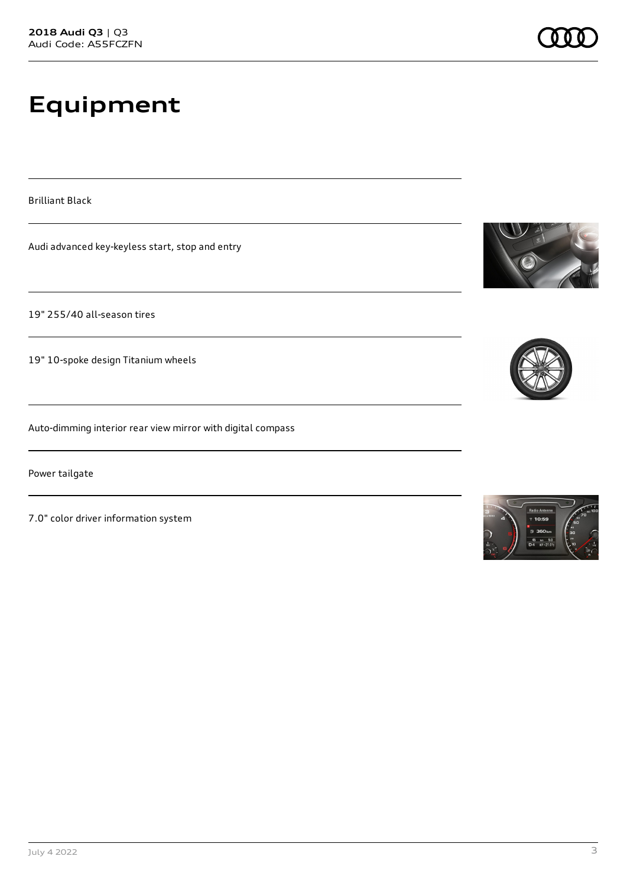# **Equipment**

Brilliant Black

Audi advanced key-keyless start, stop and entry

19" 255/40 all-season tires

19" 10-spoke design Titanium wheels

Auto-dimming interior rear view mirror with digital compass

Power tailgate

7.0" color driver information system





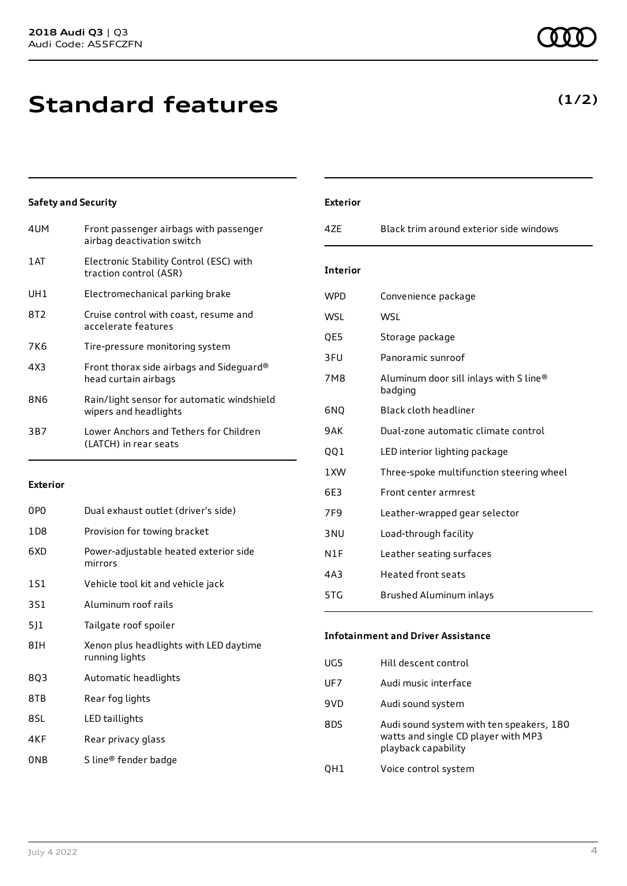# **Standard features**

#### **Safety and Security**

| 4UM  | Front passenger airbags with passenger<br>airbag deactivation switch |
|------|----------------------------------------------------------------------|
| 1 AT | Electronic Stability Control (ESC) with<br>traction control (ASR)    |
| UH1  | Electromechanical parking brake                                      |
| 8T2  | Cruise control with coast, resume and<br>accelerate features         |
| 7K6  | Tire-pressure monitoring system                                      |
| 4X3  | Front thorax side airbags and Sideguard®<br>head curtain airbags     |
| 8N6  | Rain/light sensor for automatic windshield<br>wipers and headlights  |
| 3B7  | Lower Anchors and Tethers for Children<br>(LATCH) in rear seats      |
|      |                                                                      |

#### **Exterior**

| 0PO | Dual exhaust outlet (driver's side)                      |
|-----|----------------------------------------------------------|
| 1D8 | Provision for towing bracket                             |
| 6XD | Power-adjustable heated exterior side<br>mirrors         |
| 1S1 | Vehicle tool kit and vehicle jack                        |
| 3S1 | Aluminum roof rails                                      |
| 5]1 | Tailgate roof spoiler                                    |
| 8IH | Xenon plus headlights with LED daytime<br>running lights |
| 8Q3 | Automatic headlights                                     |
| 8TB | Rear fog lights                                          |
| 8SL | LED taillights                                           |
| 4KF | Rear privacy glass                                       |
| 0NB | S line® fender badge                                     |

|                                                                | <b>Exterior</b> |                                         |
|----------------------------------------------------------------|-----------------|-----------------------------------------|
| assenger                                                       | 4ZE             | Black trim around exterior side windows |
| C) with                                                        | <b>Interior</b> |                                         |
| <e< td=""><td><b>WPD</b></td><td>Convenience package</td></e<> | <b>WPD</b>      | Convenience package                     |
| ne and                                                         | <b>WSL</b>      | WSL                                     |
| m                                                              | QE5             | Storage package                         |
| ideguard®                                                      | 3FU             | Panoramic sunroof                       |
|                                                                | 7M8             | Aluminum door sill inlays with S line®  |

| ں ار | ו סטווווט אווווס וטווו                            |
|------|---------------------------------------------------|
| 7M8  | Aluminum door sill inlays with S line®<br>badging |
| 6NQ  | Black cloth headliner                             |
| 9AK  | Dual-zone automatic climate control               |
| 001  | LED interior lighting package                     |
| 1XW  | Three-spoke multifunction steering wheel          |
| 6E3  | Front center armrest                              |
| 7F9  | Leather-wrapped gear selector                     |
| 3 NU | Load-through facility                             |
| N1F  | Leather seating surfaces                          |
|      |                                                   |

### 4A3 Heated front seats

### 5TG Brushed Aluminum inlays

#### **Infotainment and Driver Assistance**

| UG5 | Hill descent control                                                                                   |
|-----|--------------------------------------------------------------------------------------------------------|
| UF7 | Audi music interface                                                                                   |
| 9VD | Audi sound system                                                                                      |
| 8DS | Audi sound system with ten speakers, 180<br>watts and single CD player with MP3<br>playback capability |
|     | Voice control system                                                                                   |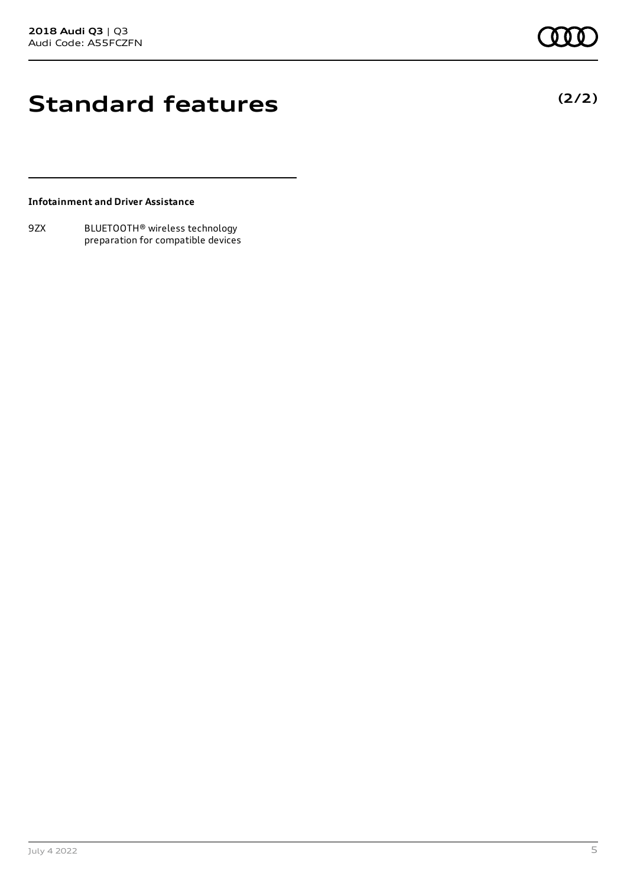**(2/2)**

### **Standard features**

#### **Infotainment and Driver Assistance**

9ZX BLUETOOTH® wireless technology preparation for compatible devices

July 4 2022 5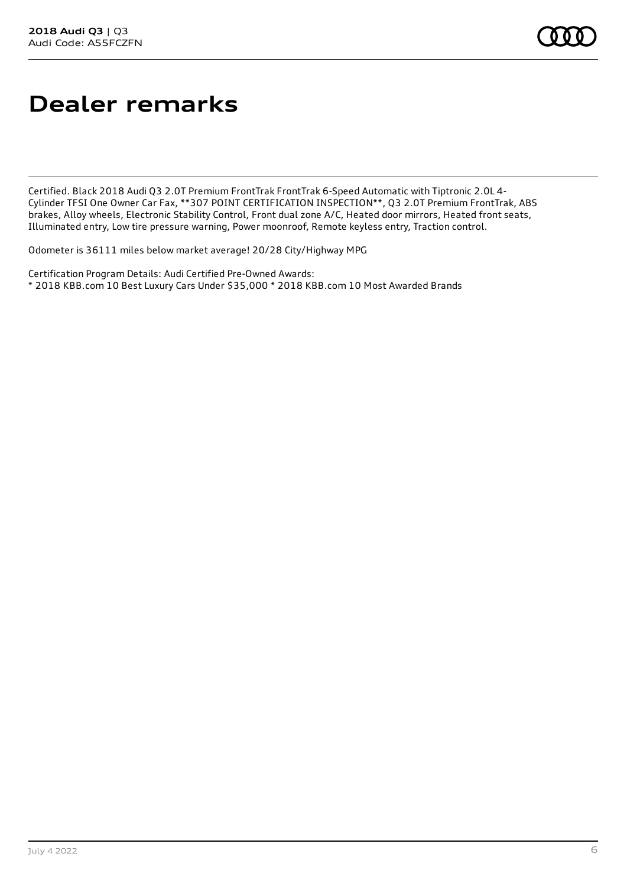# **Dealer remarks**

Certified. Black 2018 Audi Q3 2.0T Premium FrontTrak FrontTrak 6-Speed Automatic with Tiptronic 2.0L 4- Cylinder TFSI One Owner Car Fax, \*\*307 POINT CERTIFICATION INSPECTION\*\*, Q3 2.0T Premium FrontTrak, ABS brakes, Alloy wheels, Electronic Stability Control, Front dual zone A/C, Heated door mirrors, Heated front seats, Illuminated entry, Low tire pressure warning, Power moonroof, Remote keyless entry, Traction control.

Odometer is 36111 miles below market average! 20/28 City/Highway MPG

Certification Program Details: Audi Certified Pre-Owned Awards: \* 2018 KBB.com 10 Best Luxury Cars Under \$35,000 \* 2018 KBB.com 10 Most Awarded Brands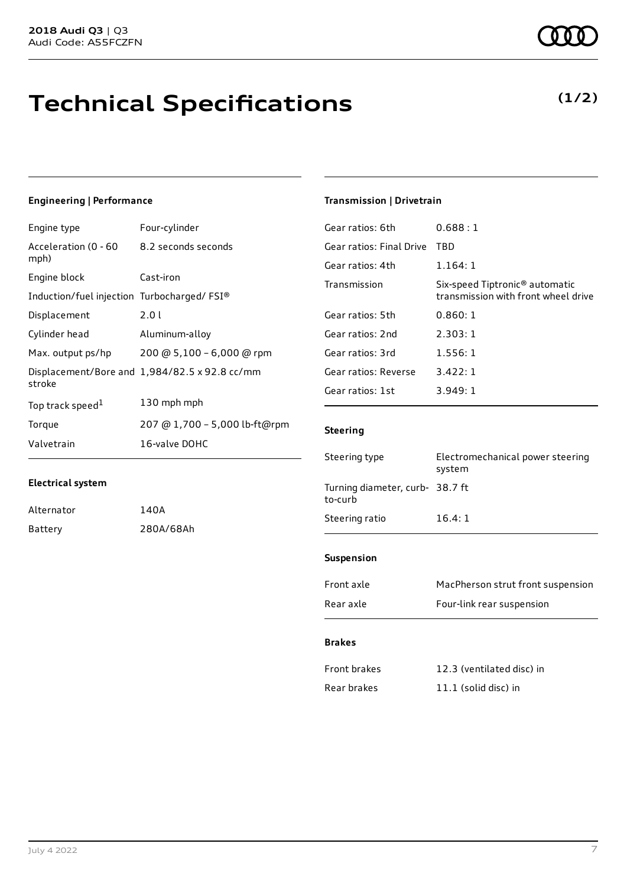# **Technical Specifications**

### **Engineering | Performance**

**Electrical system**

Alternator 140A

Battery 280A/68Ah

| Engine type                                | Four-cylinder                                 |
|--------------------------------------------|-----------------------------------------------|
| Acceleration (0 - 60<br>mph)               | 8.2 seconds seconds                           |
| Engine block                               | Cast-iron                                     |
| Induction/fuel injection Turbocharged/FSI® |                                               |
| Displacement                               | 2.0 L                                         |
| Cylinder head                              | Aluminum-alloy                                |
| Max. output ps/hp                          | 200 @ 5,100 - 6,000 @ rpm                     |
| stroke                                     | Displacement/Bore and 1,984/82.5 x 92.8 cc/mm |
| Top track speed <sup>1</sup>               | 130 mph mph                                   |
| Torque                                     | 207 @ 1,700 - 5,000 lb-ft@rpm                 |
| Valvetrain                                 | 16-valve DOHC                                 |

### **Transmission | Drivetrain**

| $C$ taaring              |                                                                                   |
|--------------------------|-----------------------------------------------------------------------------------|
| Gear ratios: 1st         | 3.949:1                                                                           |
| Gear ratios: Reverse     | 3.422:1                                                                           |
| Gear ratios: 3rd         | 1.556:1                                                                           |
| Gear ratios: 2nd         | 2.303:1                                                                           |
| Gear ratios: 5th         | 0.860:1                                                                           |
| Transmission             | Six-speed Tiptronic <sup>®</sup> automatic<br>transmission with front wheel drive |
| Gear ratios: 4th         | 1.164:1                                                                           |
| Gear ratios: Final Drive | TBD                                                                               |
| Gear ratios: 6th         | 0.688:1                                                                           |

#### **Steering**

| Steering type                              | Electromechanical power steering<br>system |
|--------------------------------------------|--------------------------------------------|
| Turning diameter, curb- 38.7 ft<br>to-curb |                                            |
| Steering ratio                             | 16.4:1                                     |
|                                            |                                            |

#### **Suspension**

| Front axle | MacPherson strut front suspension |
|------------|-----------------------------------|
| Rear axle  | Four-link rear suspension         |

#### **Brakes**

| Front brakes | 12.3 (ventilated disc) in |
|--------------|---------------------------|
| Rear brakes  | $11.1$ (solid disc) in    |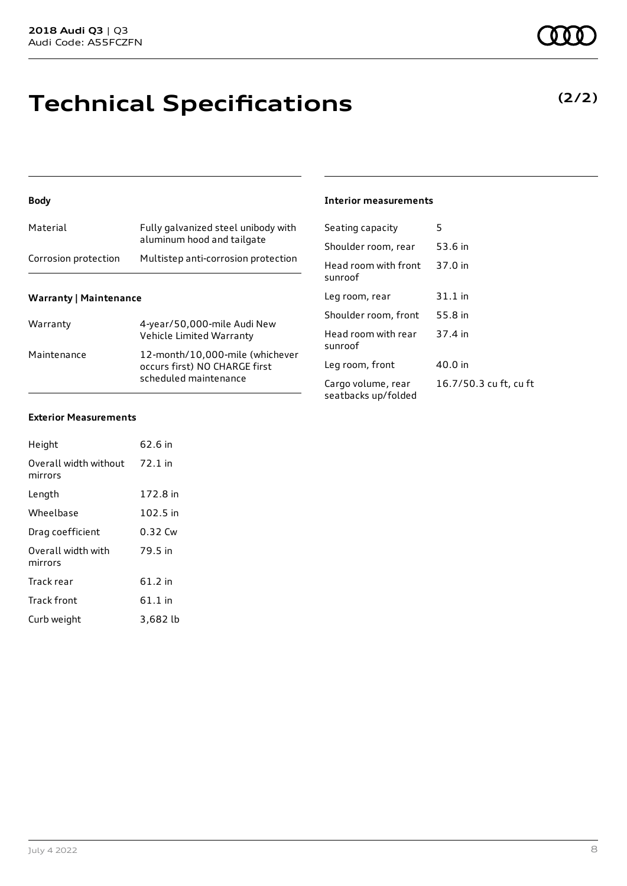# **Technical Specifications**

#### **Body**

| Corrosion protection | Multistep anti-corrosion protection                               |
|----------------------|-------------------------------------------------------------------|
| Material             | Fully galvanized steel unibody with<br>aluminum hood and tailgate |

#### **Warranty | Maintenance**

| Warranty    | 4-year/50,000-mile Audi New<br>Vehicle Limited Warranty                                   |
|-------------|-------------------------------------------------------------------------------------------|
| Maintenance | 12-month/10,000-mile (whichever<br>occurs first) NO CHARGE first<br>scheduled maintenance |

#### **Interior measurements**

| Seating capacity                          | 5                      |
|-------------------------------------------|------------------------|
| Shoulder room, rear                       | 53.6 in                |
| Head room with front<br>sunroof           | 37.0 in                |
| Leg room, rear                            | $31.1$ in              |
| Shoulder room, front                      | 55.8 in                |
| Head room with rear<br>sunroof            | 37.4 in                |
| Leg room, front                           | 40.0 in                |
| Cargo volume, rear<br>seatbacks up/folded | 16.7/50.3 cu ft, cu ft |

#### **Exterior Measurements**

| Height                           | 62.6 in   |
|----------------------------------|-----------|
| Overall width without<br>mirrors | $72.1$ in |
| Length                           | 172.8 in  |
| Wheelbase                        | 102.5 in  |
| Drag coefficient                 | 0.32 Cw   |
| Overall width with<br>mirrors    | 79.5 in   |
| Track rear                       | 61.2 in   |
| <b>Track front</b>               | $61.1$ in |
| Curb weight                      | 3.682 lb  |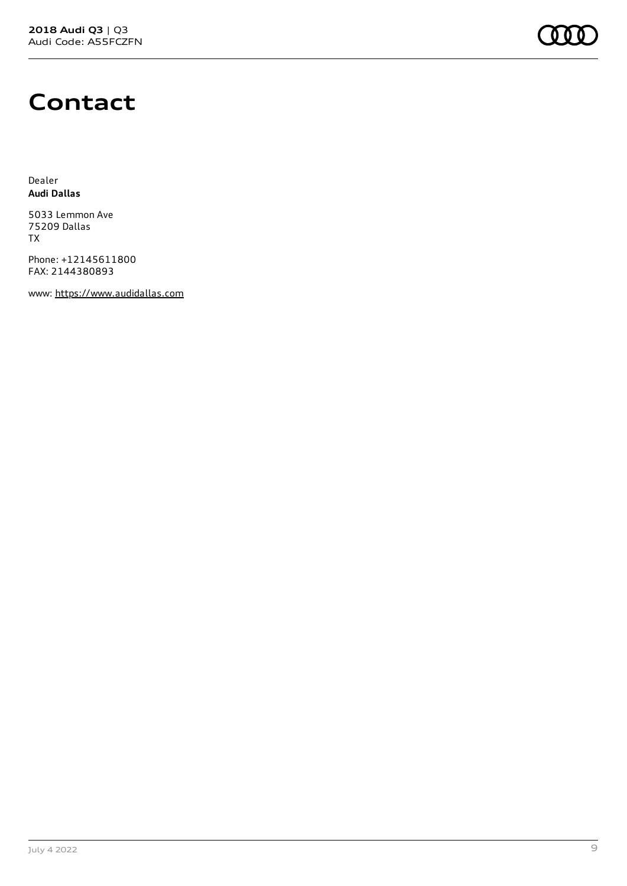

### **Contact**

Dealer **Audi Dallas**

5033 Lemmon Ave 75209 Dallas TX

Phone: +12145611800 FAX: 2144380893

www: [https://www.audidallas.com](https://www.audidallas.com/)